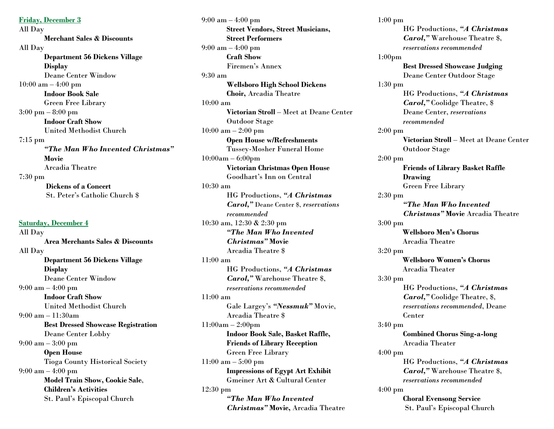**Friday, December 3** All Day **Merchant Sales & Discounts** All Day **Department 56 Dickens Village Display** Deane Center Window 10:00 am – 4:00 pm **Indoor Book Sale** Green Free Library 3:00 pm – 8:00 pm **Indoor Craft Show** United Methodist Church 7:15 pm *"The Man Who Invented Christmas"* **Movie** Arcadia Theatre 7:30 pm **Dickens of a Concert** St. Peter's Catholic Church \$

**Saturday, December 4** All Day **Area Merchants Sales & Discounts** All Day **Department 56 Dickens Village Display** Deane Center Window 9:00 am – 4:00 pm **Indoor Craft Show** United Methodist Church 9:00 am – 11:30am **Best Dressed Showcase Registration** Deane Center Lobby 9:00 am – 3:00 pm **Open House** Tioga County Historical Society 9:00 am – 4:00 pm **Model Train Show, Cookie Sale**, **Children's Activities** St. Paul's Episcopal Church

9:00 am – 4:00 pm **Street Vendors, Street Musicians, Street Performers** 9:00 am – 4:00 pm **Craft Show** Firemen's Annex 9:30 am **Wellsboro High School Dickens Choir,** Arcadia Theatre 10:00 am **Victorian Stroll** – Meet at Deane Center Outdoor Stage 10:00 am – 2:00 pm **Open House w/Refreshments** Tussey-Mosher Funeral Home 10:00am – 6:00pm **Victorian Christmas Open House** Goodhart's Inn on Central 10:30 am HG Productions, *"A Christmas Carol,"* Deane Center \$, *reservations recommended* 10:30 am, 12:30 & 2:30 pm *"The Man Who Invented Christmas"* **Movie** Arcadia Theatre \$ 11:00 am HG Productions, *"A Christmas Carol,"* Warehouse Theatre \$, *reservations recommended* 11:00 am Gale Largey's *"Nessmuk"* Movie, Arcadia Theatre \$ 11:00am – 2:00pm **Indoor Book Sale, Basket Raffle, Friends of Library Reception** Green Free Library 11:00 am – 5:00 pm **Impressions of Egypt Art Exhibit** Gmeiner Art & Cultural Center 12:30 pm *"The Man Who Invented Christmas"* **Movie,** Arcadia Theatre

1:00 pm HG Productions, *"A Christmas Carol,"* Warehouse Theatre \$, *reservations recommended* 1:00pm **Best Dressed Showcase Judging** Deane Center Outdoor Stage 1:30 pm HG Productions, *"A Christmas Carol,"* Coolidge Theatre, \$ Deane Center, *reservations recommended* 2:00 pm **Victorian Stroll** – Meet at Deane Center Outdoor Stage 2:00 pm **Friends of Library Basket Raffle Drawing** Green Free Library 2:30 pm *"The Man Who Invented Christmas"* **Movie** Arcadia Theatre 3:00 pm **Wellsboro Men's Chorus** Arcadia Theatre 3:20 pm  **Wellsboro Women's Chorus** Arcadia Theater 3:30 pm HG Productions, *"A Christma***s**  *Carol,"* Coolidge Theatre, \$, *reservations recommended*, Deane Center 3:40 pm **Combined Chorus Sing-a-long** Arcadia Theater 4:00 pm HG Productions, *"A Christmas Carol,"* Warehouse Theatre \$, *reservations recommended* 4:00 pm **Choral Evensong Service** St. Paul's Episcopal Church